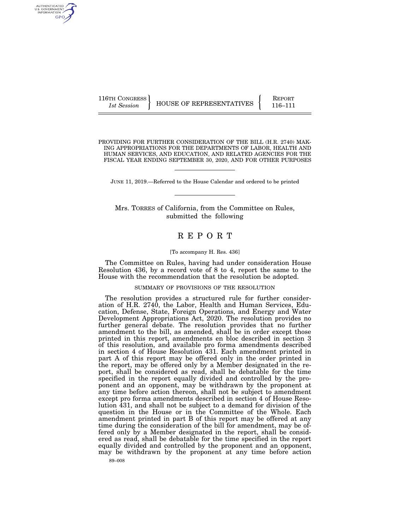116TH CONGRESS HOUSE OF REPRESENTATIVES FEPORT 116–111

PROVIDING FOR FURTHER CONSIDERATION OF THE BILL (H.R. 2740) MAK-ING APPROPRIATIONS FOR THE DEPARTMENTS OF LABOR, HEALTH AND HUMAN SERVICES, AND EDUCATION, AND RELATED AGENCIES FOR THE FISCAL YEAR ENDING SEPTEMBER 30, 2020, AND FOR OTHER PURPOSES

JUNE 11, 2019.—Referred to the House Calendar and ordered to be printed

Mrs. TORRES of California, from the Committee on Rules, submitted the following

# R E P O R T

### [To accompany H. Res. 436]

The Committee on Rules, having had under consideration House Resolution 436, by a record vote of 8 to 4, report the same to the House with the recommendation that the resolution be adopted.

#### SUMMARY OF PROVISIONS OF THE RESOLUTION

The resolution provides a structured rule for further consideration of H.R. 2740, the Labor, Health and Human Services, Education, Defense, State, Foreign Operations, and Energy and Water Development Appropriations Act, 2020. The resolution provides no further general debate. The resolution provides that no further amendment to the bill, as amended, shall be in order except those printed in this report, amendments en bloc described in section 3 of this resolution, and available pro forma amendments described in section 4 of House Resolution 431. Each amendment printed in part A of this report may be offered only in the order printed in the report, may be offered only by a Member designated in the report, shall be considered as read, shall be debatable for the time specified in the report equally divided and controlled by the proponent and an opponent, may be withdrawn by the proponent at any time before action thereon, shall not be subject to amendment except pro forma amendments described in section 4 of House Resolution 431, and shall not be subject to a demand for division of the question in the House or in the Committee of the Whole. Each amendment printed in part B of this report may be offered at any time during the consideration of the bill for amendment, may be offered only by a Member designated in the report, shall be considered as read, shall be debatable for the time specified in the report equally divided and controlled by the proponent and an opponent, may be withdrawn by the proponent at any time before action

AUTHENTICATED<br>U.S. GOVERNMENT<br>INFORMATION GPO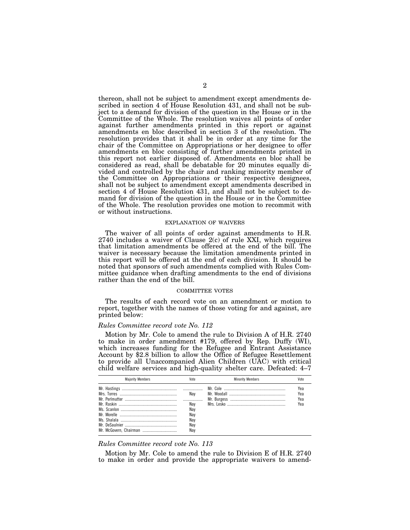thereon, shall not be subject to amendment except amendments described in section 4 of House Resolution 431, and shall not be subject to a demand for division of the question in the House or in the Committee of the Whole. The resolution waives all points of order against further amendments printed in this report or against amendments en bloc described in section 3 of the resolution. The resolution provides that it shall be in order at any time for the chair of the Committee on Appropriations or her designee to offer amendments en bloc consisting of further amendments printed in this report not earlier disposed of. Amendments en bloc shall be considered as read, shall be debatable for 20 minutes equally divided and controlled by the chair and ranking minority member of the Committee on Appropriations or their respective designees, shall not be subject to amendment except amendments described in section 4 of House Resolution 431, and shall not be subject to demand for division of the question in the House or in the Committee of the Whole. The resolution provides one motion to recommit with or without instructions.

#### EXPLANATION OF WAIVERS

The waiver of all points of order against amendments to H.R. 2740 includes a waiver of Clause 2(c) of rule XXI, which requires that limitation amendments be offered at the end of the bill. The waiver is necessary because the limitation amendments printed in this report will be offered at the end of each division. It should be noted that sponsors of such amendments complied with Rules Committee guidance when drafting amendments to the end of divisions rather than the end of the bill.

#### COMMITTEE VOTES

The results of each record vote on an amendment or motion to report, together with the names of those voting for and against, are printed below:

### *Rules Committee record vote No. 112*

Motion by Mr. Cole to amend the rule to Division A of H.R. 2740 to make in order amendment #179, offered by Rep. Duffy (WI), which increases funding for the Refugee and Entrant Assistance Account by \$2.8 billion to allow the Office of Refugee Resettlement to provide all Unaccompanied Alien Children (UAC) with critical child welfare services and high-quality shelter care. Defeated: 4–7

| <b>Maiority Members</b> | Vote                                   | <b>Minority Members</b> |                          |
|-------------------------|----------------------------------------|-------------------------|--------------------------|
|                         | Nav<br>Nav<br>Nav<br>Nav<br>Nav<br>Nav |                         | Yea<br>Yea<br>Yea<br>Yea |

### *Rules Committee record vote No. 113*

Motion by Mr. Cole to amend the rule to Division E of H.R. 2740 to make in order and provide the appropriate waivers to amend-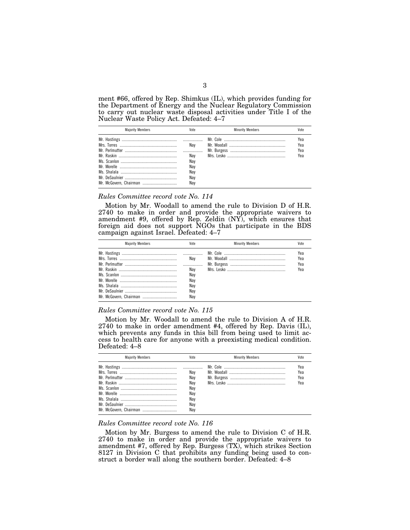ment #66, offered by Rep. Shimkus (IL), which provides funding for the Department of Energy and the Nuclear Regulatory Commission to carry out nuclear waste disposal activities under Title I of the Nuclear Waste Policy Act. Defeated: 4–7

| <b>Maiority Members</b> | Vote                                          | <b>Minority Members</b> | Vnte                     |
|-------------------------|-----------------------------------------------|-------------------------|--------------------------|
|                         | Nav<br>Nav<br>Nav<br>Nav<br>Nav<br>Nav<br>Nav |                         | Yea<br>Yea<br>Yea<br>Yea |

#### *Rules Committee record vote No. 114*

Motion by Mr. Woodall to amend the rule to Division D of H.R. 2740 to make in order and provide the appropriate waivers to amendment #9, offered by Rep. Zeldin (NY), which ensures that foreign aid does not support NGOs that participate in the BDS campaign against Israel. Defeated: 4–7

| <b>Maiority Members</b> | Vote | <b>Minority Members</b> | Vote |
|-------------------------|------|-------------------------|------|
|                         |      |                         | Yea  |
|                         | Nav  |                         | Yea  |
|                         |      |                         | Yea  |
|                         | Nav  |                         | Yea  |
|                         | Nav  |                         |      |
|                         | Nav  |                         |      |
|                         | Nav  |                         |      |
|                         | Nav  |                         |      |
|                         | Nav  |                         |      |

# *Rules Committee record vote No. 115*

Motion by Mr. Woodall to amend the rule to Division A of H.R. 2740 to make in order amendment #4, offered by Rep. Davis (IL), which prevents any funds in this bill from being used to limit access to health care for anyone with a preexisting medical condition. Defeated: 4–8

| <b>Majority Members</b> | Vote                            | <b>Minority Members</b> | Vote                     |
|-------------------------|---------------------------------|-------------------------|--------------------------|
|                         | Nav<br>Nav<br>Nav<br>Nav<br>Nav |                         | Yea<br>Yea<br>Yea<br>Yea |
|                         | Nay<br>Nav<br>Nav               |                         |                          |

### *Rules Committee record vote No. 116*

Motion by Mr. Burgess to amend the rule to Division C of H.R. 2740 to make in order and provide the appropriate waivers to amendment #7, offered by Rep. Burgess (TX), which strikes Section 8127 in Division C that prohibits any funding being used to construct a border wall along the southern border. Defeated: 4–8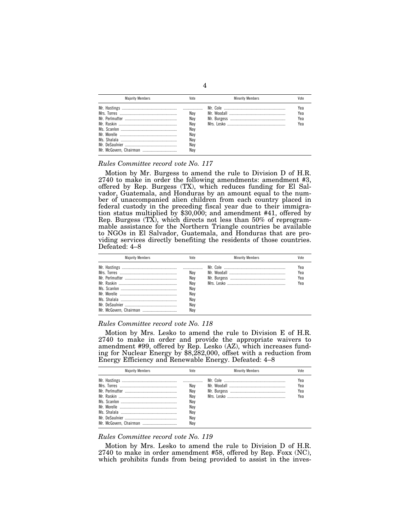| <b>Maiority Members</b> | Vote                                                 | <b>Minority Members</b> | Vote                     |
|-------------------------|------------------------------------------------------|-------------------------|--------------------------|
|                         | Nav<br>Nav<br>Nav<br>Nav<br>Nav<br>Nav<br>Nav<br>Nav |                         | Yea<br>Yea<br>Yea<br>Yea |

### *Rules Committee record vote No. 117*

Motion by Mr. Burgess to amend the rule to Division D of H.R. 2740 to make in order the following amendments: amendment #3, offered by Rep. Burgess (TX), which reduces funding for El Salvador, Guatemala, and Honduras by an amount equal to the number of unaccompanied alien children from each country placed in federal custody in the preceding fiscal year due to their immigration status multiplied by \$30,000; and amendment #41, offered by Rep. Burgess (TX), which directs not less than 50% of reprogrammable assistance for the Northern Triangle countries be available to NGOs in El Salvador, Guatemala, and Honduras that are providing services directly benefiting the residents of those countries. Defeated: 4–8

| <b>Maiority Members</b> | Vote                                                 | <b>Minority Members</b> | Vote                     |
|-------------------------|------------------------------------------------------|-------------------------|--------------------------|
|                         | Nav<br>Nav<br>Nav<br>Nav<br>Nav<br>Nav<br>Nav<br>Nav |                         | Yea<br>Yea<br>Yea<br>Yea |

### *Rules Committee record vote No. 118*

Motion by Mrs. Lesko to amend the rule to Division E of H.R. 2740 to make in order and provide the appropriate waivers to amendment #99, offered by Rep. Lesko (AZ), which increases funding for Nuclear Energy by \$8,282,000, offset with a reduction from Energy Efficiency and Renewable Energy. Defeated: 4–8

| <b>Majority Members</b> | Vote                                                 | <b>Minority Members</b> | Vote                     |
|-------------------------|------------------------------------------------------|-------------------------|--------------------------|
|                         | Nav<br>Nav<br>Nav<br>Nav<br>Nav<br>Nav<br>Nav<br>Nav |                         | Yea<br>Yea<br>Yea<br>Yea |

### *Rules Committee record vote No. 119*

Motion by Mrs. Lesko to amend the rule to Division D of H.R. 2740 to make in order amendment #58, offered by Rep. Foxx (NC), which prohibits funds from being provided to assist in the inves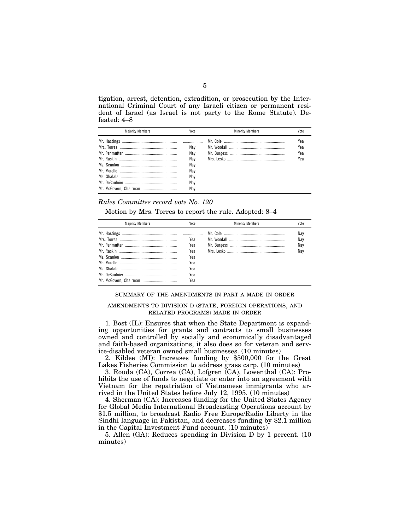tigation, arrest, detention, extradition, or prosecution by the International Criminal Court of any Israeli citizen or permanent resident of Israel (as Israel is not party to the Rome Statute). Defeated: 4–8

| <b>Maiority Members</b> | Vote | <b>Minority Members</b> | Vote |
|-------------------------|------|-------------------------|------|
|                         |      |                         | Yea  |
|                         | Nav  |                         | Yea  |
|                         | Nav  |                         | Yea  |
|                         | Nav  |                         | Yea  |
|                         | Nav  |                         |      |
|                         | Nav  |                         |      |
|                         | Nav  |                         |      |
|                         | Nav  |                         |      |
|                         | Nav  |                         |      |

# *Rules Committee record vote No. 120*

Motion by Mrs. Torres to report the rule. Adopted: 8–4

| <b>Majority Members</b> | Vote | <b>Minority Members</b> | Vote |
|-------------------------|------|-------------------------|------|
|                         |      |                         | Nav  |
|                         | Yea  |                         | Nay  |
|                         | Yea  |                         | Nav  |
|                         | Yea  |                         | Nav  |
|                         | Yea  |                         |      |
|                         | Yea  |                         |      |
|                         | Yea  |                         |      |
|                         | Yea  |                         |      |
|                         | Yea  |                         |      |

### SUMMARY OF THE AMENDMENTS IN PART A MADE IN ORDER

# AMENDMENTS TO DIVISION D (STATE, FOREIGN OPERATIONS, AND RELATED PROGRAMS) MADE IN ORDER

1. Bost (IL): Ensures that when the State Department is expanding opportunities for grants and contracts to small businesses owned and controlled by socially and economically disadvantaged and faith-based organizations, it also does so for veteran and service-disabled veteran owned small businesses. (10 minutes)

2. Kildee (MI): Increases funding by \$500,000 for the Great Lakes Fisheries Commission to address grass carp. (10 minutes)

3. Rouda (CA), Correa (CA), Lofgren (CA), Lowenthal (CA): Prohibits the use of funds to negotiate or enter into an agreement with Vietnam for the repatriation of Vietnamese immigrants who arrived in the United States before July 12, 1995. (10 minutes)

4. Sherman (CA): Increases funding for the United States Agency for Global Media International Broadcasting Operations account by \$1.5 million, to broadcast Radio Free Europe/Radio Liberty in the Sindhi language in Pakistan, and decreases funding by \$2.1 million in the Capital Investment Fund account. (10 minutes)

5. Allen (GA): Reduces spending in Division D by 1 percent. (10 minutes)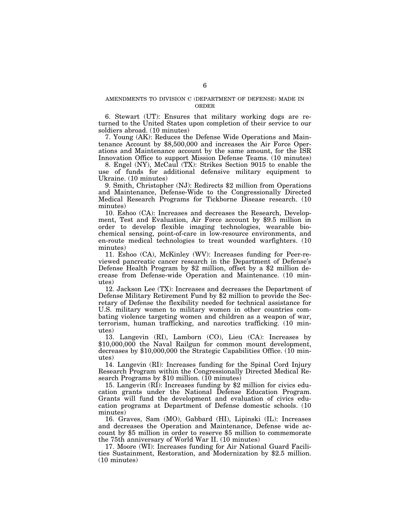## AMENDMENTS TO DIVISION C (DEPARTMENT OF DEFENSE) MADE IN ORDER

6. Stewart (UT): Ensures that military working dogs are returned to the United States upon completion of their service to our soldiers abroad. (10 minutes)

7. Young (AK): Reduces the Defense Wide Operations and Maintenance Account by \$8,500,000 and increases the Air Force Operations and Maintenance account by the same amount, for the ISR Innovation Office to support Mission Defense Teams. (10 minutes)

8. Engel (NY), McCaul (TX): Strikes Section 9015 to enable the use of funds for additional defensive military equipment to Ukraine. (10 minutes)

9. Smith, Christopher (NJ): Redirects \$2 million from Operations and Maintenance, Defense-Wide to the Congressionally Directed Medical Research Programs for Tickborne Disease research. (10 minutes)

10. Eshoo (CA): Increases and decreases the Research, Development, Test and Evaluation, Air Force account by \$9.5 million in order to develop flexible imaging technologies, wearable biochemical sensing, point-of-care in low-resource environments, and en-route medical technologies to treat wounded warfighters. (10 minutes)

11. Eshoo (CA), McKinley (WV): Increases funding for Peer-reviewed pancreatic cancer research in the Department of Defense's Defense Health Program by \$2 million, offset by a \$2 million decrease from Defense-wide Operation and Maintenance. (10 minutes)

12. Jackson Lee (TX): Increases and decreases the Department of Defense Military Retirement Fund by \$2 million to provide the Secretary of Defense the flexibility needed for technical assistance for U.S. military women to military women in other countries combating violence targeting women and children as a weapon of war, terrorism, human trafficking, and narcotics trafficking. (10 minutes)

13. Langevin (RI), Lamborn (CO), Lieu (CA): Increases by \$10,000,000 the Naval Railgun for common mount development, decreases by \$10,000,000 the Strategic Capabilities Office. (10 minutes)

14. Langevin (RI): Increases funding for the Spinal Cord Injury Research Program within the Congressionally Directed Medical Research Programs by \$10 million. (10 minutes)

15. Langevin (RI): Increases funding by \$2 million for civics education grants under the National Defense Education Program. Grants will fund the development and evaluation of civics education programs at Department of Defense domestic schools. (10 minutes)

16. Graves, Sam (MO), Gabbard (HI), Lipinski (IL): Increases and decreases the Operation and Maintenance, Defense wide account by \$5 million in order to reserve \$5 million to commemorate the 75th anniversary of World War II. (10 minutes)

17. Moore (WI): Increases funding for Air National Guard Facilities Sustainment, Restoration, and Modernization by \$2.5 million. (10 minutes)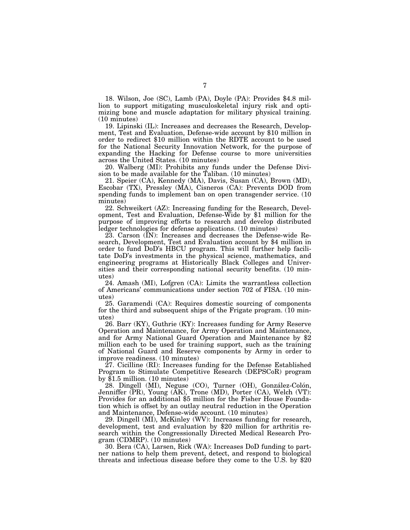18. Wilson, Joe (SC), Lamb (PA), Doyle (PA): Provides \$4.8 million to support mitigating musculoskeletal injury risk and optimizing bone and muscle adaptation for military physical training. (10 minutes)

19. Lipinski (IL): Increases and decreases the Research, Development, Test and Evaluation, Defense-wide account by \$10 million in order to redirect \$10 million within the RDTE account to be used for the National Security Innovation Network, for the purpose of expanding the Hacking for Defense course to more universities across the United States. (10 minutes)

20. Walberg (MI): Prohibits any funds under the Defense Division to be made available for the Taliban. (10 minutes)

21. Speier (CA), Kennedy (MA), Davis, Susan (CA), Brown (MD), Escobar (TX), Pressley (MA), Cisneros (CA): Prevents DOD from spending funds to implement ban on open transgender service. (10 minutes)

22. Schweikert (AZ): Increasing funding for the Research, Development, Test and Evaluation, Defense-Wide by \$1 million for the purpose of improving efforts to research and develop distributed ledger technologies for defense applications. (10 minutes)

23. Carson (IN): Increases and decreases the Defense-wide Research, Development, Test and Evaluation account by \$4 million in order to fund DoD's HBCU program. This will further help facilitate DoD's investments in the physical science, mathematics, and engineering programs at Historically Black Colleges and Universities and their corresponding national security benefits. (10 minutes)

24. Amash (MI), Lofgren (CA): Limits the warrantless collection of Americans' communications under section 702 of FISA. (10 minutes)

25. Garamendi (CA): Requires domestic sourcing of components for the third and subsequent ships of the Frigate program. (10 minutes)

26. Barr (KY), Guthrie (KY): Increases funding for Army Reserve Operation and Maintenance, for Army Operation and Maintenance, and for Army National Guard Operation and Maintenance by \$2 million each to be used for training support, such as the training of National Guard and Reserve components by Army in order to improve readiness. (10 minutes)

27. Cicilline (RI): Increases funding for the Defense Established Program to Stimulate Competitive Research (DEPSCoR) program by  $$1.5$  million. (10 minutes)

28. Dingell (MI), Neguse (CO), Turner (OH), González-Colón, Jenniffer (PR), Young (AK), Trone (MD), Porter (CA), Welch (VT): Provides for an additional \$5 million for the Fisher House Foundation which is offset by an outlay neutral reduction in the Operation and Maintenance, Defense-wide account. (10 minutes)

29. Dingell (MI), McKinley (WV): Increases funding for research, development, test and evaluation by \$20 million for arthritis research within the Congressionally Directed Medical Research Program (CDMRP). (10 minutes)

30. Bera (CA), Larsen, Rick (WA): Increases DoD funding to partner nations to help them prevent, detect, and respond to biological threats and infectious disease before they come to the U.S. by \$20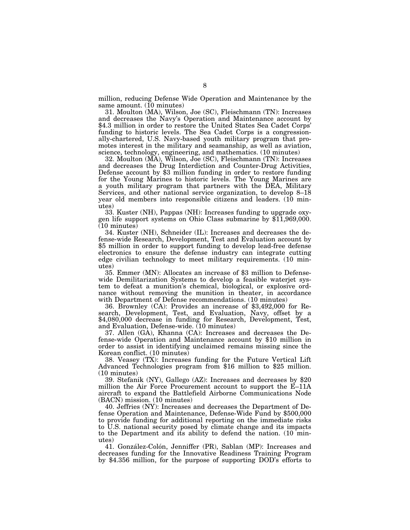million, reducing Defense Wide Operation and Maintenance by the same amount. (10 minutes)

31. Moulton (MA), Wilson, Joe (SC), Fleischmann (TN): Increases and decreases the Navy's Operation and Maintenance account by \$4.3 million in order to restore the United States Sea Cadet Corps' funding to historic levels. The Sea Cadet Corps is a congressionally-chartered, U.S. Navy-based youth military program that promotes interest in the military and seamanship, as well as aviation, science, technology, engineering, and mathematics. (10 minutes)

32. Moulton (MA), Wilson, Joe (SC), Fleischmann (TN): Increases and decreases the Drug Interdiction and Counter-Drug Activities, Defense account by \$3 million funding in order to restore funding for the Young Marines to historic levels. The Young Marines are a youth military program that partners with the DEA, Military Services, and other national service organization, to develop 8–18 year old members into responsible citizens and leaders. (10 min-

utes)<br>33. Kuster (NH), Pappas (NH): Increases funding to upgrade oxygen life support systems on Ohio Class submarine by  $$11,969,000$ . (10 minutes)

34. Kuster (NH), Schneider (IL): Increases and decreases the defense-wide Research, Development, Test and Evaluation account by \$5 million in order to support funding to develop lead-free defense electronics to ensure the defense industry can integrate cutting edge civilian technology to meet military requirements. (10 minutes)

35. Emmer (MN): Allocates an increase of \$3 million to Defensewide Demilitarization Systems to develop a feasible waterjet system to defeat a munition's chemical, biological, or explosive ordnance without removing the munition in theater, in accordance with Department of Defense recommendations. (10 minutes) 36. Brownley (CA): Provides an increase of \$3,492,000 for Re-

search, Development, Test, and Evaluation, Navy, offset by a \$4,080,000 decrease in funding for Research, Development, Test, and Evaluation, Defense-wide. (10 minutes)

37. Allen (GA), Khanna (CA): Increases and decreases the Defense-wide Operation and Maintenance account by \$10 million in order to assist in identifying unclaimed remains missing since the Korean conflict. (10 minutes)

38. Veasey (TX): Increases funding for the Future Vertical Lift Advanced Technologies program from \$16 million to \$25 million. (10 minutes)

39. Stefanik (NY), Gallego (AZ): Increases and decreases by \$20 million the Air Force Procurement account to support the E–11A aircraft to expand the Battlefield Airborne Communications Node (BACN) mission. (10 minutes)

40. Jeffries (NY): Increases and decreases the Department of Defense Operation and Maintenance, Defense-Wide Fund by \$500,000 to provide funding for additional reporting on the immediate risks to U.S. national security posed by climate change and its impacts to the Department and its ability to defend the nation. (10 minutes)

41. González-Colón, Jenniffer (PR), Sablan (MP): Increases and decreases funding for the Innovative Readiness Training Program by \$4.356 million, for the purpose of supporting DOD's efforts to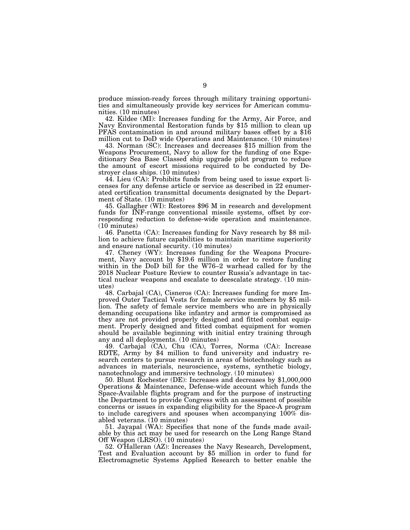produce mission-ready forces through military training opportunities and simultaneously provide key services for American communities. (10 minutes)<br>42. Kildee (MI): Increases funding for the Army, Air Force, and

Navy Environmental Restoration funds by \$15 million to clean up PFAS contamination in and around military bases offset by a \$16

million cut to DoD wide Operations and Maintenance. (10 minutes) 43. Norman (SC): Increases and decreases \$15 million from the Weapons Procurement, Navy to allow for the funding of one Expeditionary Sea Base Classed ship upgrade pilot program to reduce the amount of escort missions required to be conducted by Destroyer class ships. (10 minutes)

44. Lieu (CA): Prohibits funds from being used to issue export licenses for any defense article or service as described in 22 enumerated certification transmittal documents designated by the Department of State. (10 minutes)

45. Gallagher (WI): Restores \$96 M in research and development funds for INF-range conventional missile systems, offset by corresponding reduction to defense-wide operation and maintenance. (10 minutes)

46. Panetta (CA): Increases funding for Navy research by \$8 million to achieve future capabilities to maintain maritime superiority and ensure national security. (10 minutes)

47. Cheney (WY): Increases funding for the Weapons Procure- ment, Navy account by \$19.6 million in order to restore funding within in the DoD bill for the W76–2 warhead called for by the 2018 Nuclear Posture Review to counter Russia's advantage in tactical nuclear weapons and escalate to deescalate strategy. (10 minutes)

48. Carbajal (CA), Cisneros (CA): Increases funding for more Im- proved Outer Tactical Vests for female service members by \$5 million. The safety of female service members who are in physically demanding occupations like infantry and armor is compromised as they are not provided properly designed and fitted combat equipment. Properly designed and fitted combat equipment for women should be available beginning with initial entry training through any and all deployments. (10 minutes)

49. Carbajal (CA), Chu (CA), Torres, Norma (CA): Increase RDTE, Army by \$4 million to fund university and industry research centers to pursue research in areas of biotechnology such as advances in materials, neuroscience, systems, synthetic biology, nanotechnology and immersive technology. (10 minutes)

50. Blunt Rochester (DE): Increases and decreases by \$1,000,000 Operations & Maintenance, Defense-wide account which funds the Space-Available flights program and for the purpose of instructing the Department to provide Congress with an assessment of possible concerns or issues in expanding eligibility for the Space-A program to include caregivers and spouses when accompanying  $100\%$  disabled veterans. (10 minutes)

51. Jayapal (WA): Specifies that none of the funds made available by this act may be used for research on the Long Range Stand Off Weapon (LRSO). (10 minutes)

52. O'Halleran (AZ): Increases the Navy Research, Development, Test and Evaluation account by \$5 million in order to fund for Electromagnetic Systems Applied Research to better enable the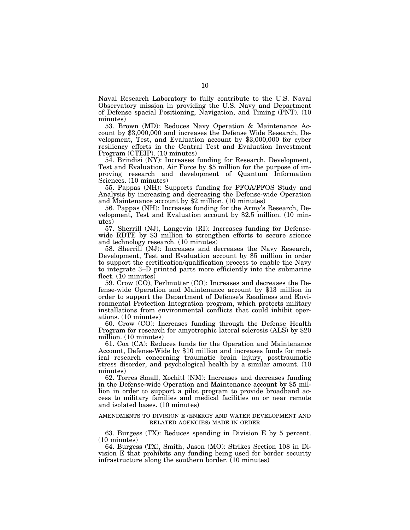Naval Research Laboratory to fully contribute to the U.S. Naval Observatory mission in providing the U.S. Navy and Department of Defense spacial Positioning, Navigation, and Timing (PNT). (10 minutes)

53. Brown (MD): Reduces Navy Operation & Maintenance Account by \$3,000,000 and increases the Defense Wide Research, Development, Test, and Evaluation account by \$3,000,000 for cyber resiliency efforts in the Central Test and Evaluation Investment Program (CTEIP). (10 minutes)

54. Brindisi (NY): Increases funding for Research, Development, Test and Evaluation, Air Force by \$5 million for the purpose of improving research and development of Quantum Information Sciences. (10 minutes)

55. Pappas (NH): Supports funding for PFOA/PFOS Study and Analysis by increasing and decreasing the Defense-wide Operation and Maintenance account by \$2 million. (10 minutes)

56. Pappas (NH): Increases funding for the Army's Research, Development, Test and Evaluation account by \$2.5 million. (10 minutes)

57. Sherrill (NJ), Langevin (RI): Increases funding for Defensewide RDTE by \$3 million to strengthen efforts to secure science and technology research. (10 minutes)

58. Sherrill (NJ): Increases and decreases the Navy Research, Development, Test and Evaluation account by \$5 million in order to support the certification/qualification process to enable the Navy to integrate 3–D printed parts more efficiently into the submarine fleet.  $(10 \text{ minutes})$ 

59. Crow (CO), Perlmutter (CO): Increases and decreases the Defense-wide Operation and Maintenance account by \$13 million in order to support the Department of Defense's Readiness and Environmental Protection Integration program, which protects military installations from environmental conflicts that could inhibit operations. (10 minutes)

60. Crow (CO): Increases funding through the Defense Health Program for research for amyotrophic lateral sclerosis (ALS) by \$20 million. (10 minutes)

61. Cox (CA): Reduces funds for the Operation and Maintenance Account, Defense-Wide by \$10 million and increases funds for medical research concerning traumatic brain injury, posttraumatic stress disorder, and psychological health by a similar amount. (10 minutes)

62. Torres Small, Xochitl (NM): Increases and decreases funding in the Defense-wide Operation and Maintenance account by \$5 million in order to support a pilot program to provide broadband access to military families and medical facilities on or near remote and isolated bases. (10 minutes)

## AMENDMENTS TO DIVISION E (ENERGY AND WATER DEVELOPMENT AND RELATED AGENCIES) MADE IN ORDER

63. Burgess (TX): Reduces spending in Division E by 5 percent. (10 minutes)

64. Burgess (TX), Smith, Jason (MO): Strikes Section 108 in Division E that prohibits any funding being used for border security infrastructure along the southern border. (10 minutes)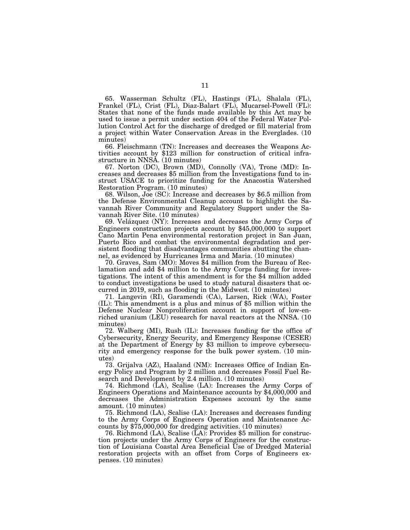65. Wasserman Schultz (FL), Hastings (FL), Shalala (FL), Frankel (FL), Crist (FL), Diaz-Balart (FL), Mucarsel-Powell (FL): States that none of the funds made available by this Act may be used to issue a permit under section 404 of the Federal Water Pollution Control Act for the discharge of dredged or fill material from a project within Water Conservation Areas in the Everglades. (10 minutes)

66. Fleischmann (TN): Increases and decreases the Weapons Activities account by \$123 million for construction of critical infrastructure in NNSA. (10 minutes)

67. Norton (DC), Brown (MD), Connolly (VA), Trone (MD): Increases and decreases \$5 million from the Investigations fund to instruct USACE to prioritize funding for the Anacostia Watershed Restoration Program. (10 minutes)

68. Wilson, Joe (SC): Increase and decreases by \$6.5 million from the Defense Environmental Cleanup account to highlight the Savannah River Community and Regulatory Support under the Savannah River Site. (10 minutes)

69. Velázquez (NY): Increases and decreases the Army Corps of Engineers construction projects account by \$45,000,000 to support Cano Martin Pena environmental restoration project in San Juan, Puerto Rico and combat the environmental degradation and persistent flooding that disadvantages communities abutting the channel, as evidenced by Hurricanes Irma and Maria. (10 minutes)

70. Graves, Sam (MO): Moves \$4 million from the Bureau of Reclamation and add \$4 million to the Army Corps funding for investigations. The intent of this amendment is for the \$4 million added to conduct investigations be used to study natural disasters that occurred in 2019, such as flooding in the Midwest. (10 minutes)

71. Langevin (RI), Garamendi (CA), Larsen, Rick (WA), Foster (IL): This amendment is a plus and minus of \$5 million within the Defense Nuclear Nonproliferation account in support of low-enriched uranium (LEU) research for naval reactors at the NNSA. (10 minutes)

72. Walberg (MI), Rush (IL): Increases funding for the office of Cybersecurity, Energy Security, and Emergency Response (CESER) at the Department of Energy by \$3 million to improve cybersecurity and emergency response for the bulk power system. (10 minutes)

73. Grijalva (AZ), Haaland (NM): Increases Office of Indian Energy Policy and Program by 2 million and decreases Fossil Fuel Research and Development by 2.4 million. (10 minutes)

74. Richmond (LA), Scalise (LA): Increases the Army Corps of Engineers Operations and Maintenance accounts by \$4,000,000 and decreases the Administration Expenses account by the same amount. (10 minutes)

75. Richmond (LA), Scalise (LA): Increases and decreases funding to the Army Corps of Engineers Operation and Maintenance Accounts by \$75,000,000 for dredging activities. (10 minutes)

76. Richmond (LA), Scalise (LA): Provides \$5 million for construction projects under the Army Corps of Engineers for the construction of Louisiana Coastal Area Beneficial Use of Dredged Material restoration projects with an offset from Corps of Engineers expenses. (10 minutes)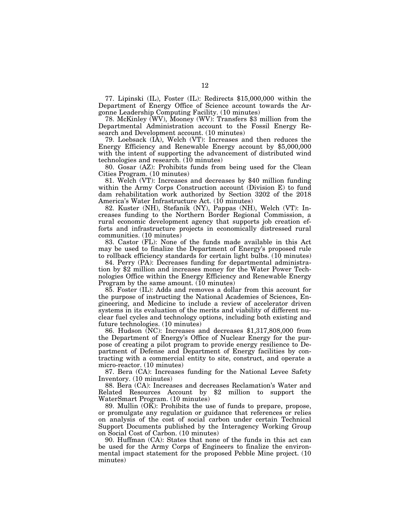77. Lipinski (IL), Foster (IL): Redirects \$15,000,000 within the Department of Energy Office of Science account towards the Argonne Leadership Computing Facility. (10 minutes)

78. McKinley (WV), Mooney (WV): Transfers \$3 million from the Departmental Administration account to the Fossil Energy Research and Development account. (10 minutes)

79. Loebsack (IA), Welch (VT): Increases and then reduces the Energy Efficiency and Renewable Energy account by \$5,000,000 with the intent of supporting the advancement of distributed wind technologies and research. (10 minutes)

80. Gosar (AZ): Prohibits funds from being used for the Clean Cities Program. (10 minutes)

81. Welch (VT): Increases and decreases by \$40 million funding within the Army Corps Construction account (Division E) to fund dam rehabilitation work authorized by Section 3202 of the 2018 America's Water Infrastructure Act. (10 minutes)

82. Kuster (NH), Stefanik (NY), Pappas (NH), Welch (VT): Increases funding to the Northern Border Regional Commission, a rural economic development agency that supports job creation efforts and infrastructure projects in economically distressed rural communities. (10 minutes)

83. Castor (FL): None of the funds made available in this Act may be used to finalize the Department of Energy's proposed rule to rollback efficiency standards for certain light bulbs. (10 minutes)

84. Perry (PA): Decreases funding for departmental administration by \$2 million and increases money for the Water Power Technologies Office within the Energy Efficiency and Renewable Energy Program by the same amount. (10 minutes)

85. Foster (IL): Adds and removes a dollar from this account for the purpose of instructing the National Academies of Sciences, Engineering, and Medicine to include a review of accelerator driven systems in its evaluation of the merits and viability of different nuclear fuel cycles and technology options, including both existing and future technologies. (10 minutes)

86. Hudson (NC): Increases and decreases \$1,317,808,000 from the Department of Energy's Office of Nuclear Energy for the purpose of creating a pilot program to provide energy resilience to Department of Defense and Department of Energy facilities by contracting with a commercial entity to site, construct, and operate a micro-reactor. (10 minutes)

87. Bera (CA): Increases funding for the National Levee Safety Inventory. (10 minutes)

88. Bera (CA): Increases and decreases Reclamation's Water and Related Resources Account by \$2 million to support the WaterSmart Program. (10 minutes)

89. Mullin  $(OK)$ : Prohibits the use of funds to prepare, propose, or promulgate any regulation or guidance that references or relies on analysis of the cost of social carbon under certain Technical Support Documents published by the Interagency Working Group on Social Cost of Carbon. (10 minutes)

90. Huffman (CA): States that none of the funds in this act can be used for the Army Corps of Engineers to finalize the environmental impact statement for the proposed Pebble Mine project. (10 minutes)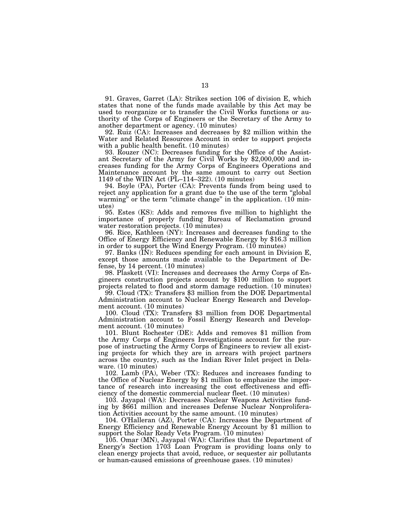91. Graves, Garret (LA): Strikes section 106 of division E, which states that none of the funds made available by this Act may be used to reorganize or to transfer the Civil Works functions or authority of the Corps of Engineers or the Secretary of the Army to

92. Ruiz  $(CA)$ : Increases and decreases by \$2 million within the Water and Related Resources Account in order to support projects with a public health benefit. (10 minutes)

93. Rouzer (NC): Decreases funding for the Office of the Assist- ant Secretary of the Army for Civil Works by \$2,000,000 and increases funding for the Army Corps of Engineers Operations and Maintenance account by the same amount to carry out Section 1149 of the WIIN Act (PL–114–322). (10 minutes)

94. Boyle (PA), Porter (CA): Prevents funds from being used to reject any application for a grant due to the use of the term ''global warming" or the term "climate change" in the application. (10 minutes)

95. Estes (KS): Adds and removes five million to highlight the importance of properly funding Bureau of Reclamation ground water restoration projects. (10 minutes)<br>96. Rice, Kathleen (NY): Increases and decreases funding to the

Office of Energy Efficiency and Renewable Energy by  $$16.3$  million in order to support the Wind Energy Program. (10 minutes)

97. Banks (IN): Reduces spending for each amount in Division E, except those amounts made available to the Department of Defense, by 14 percent. (10 minutes)<br>98. Plaskett (VI): Increases and decreases the Army Corps of En-

gineers construction projects account by \$100 million to support projects related to flood and storm damage reduction. (10 minutes)

99. Cloud (TX): Transfers \$3 million from the DOE Departmental Administration account to Nuclear Energy Research and Development account. (10 minutes)

100. Cloud (TX): Transfers \$3 million from DOE Departmental Administration account to Fossil Energy Research and Development account. (10 minutes)

101. Blunt Rochester (DE): Adds and removes \$1 million from the Army Corps of Engineers Investigations account for the purpose of instructing the Army Corps of Engineers to review all existing projects for which they are in arrears with project partners across the country, such as the Indian River Inlet project in Delaware. (10 minutes)

102. Lamb (PA), Weber (TX): Reduces and increases funding to the Office of Nuclear Energy by \$1 million to emphasize the importance of research into increasing the cost effectiveness and efficiency of the domestic commercial nuclear fleet. (10 minutes)

103. Jayapal (WA): Decreases Nuclear Weapons Activities funding by \$661 million and increases Defense Nuclear Nonproliferation Activities account by the same amount. (10 minutes)

104. O'Halleran (AZ), Porter (CA): Increases the Department of Energy Efficiency and Renewable Energy Account by \$1 million to support the Solar Ready Vets Program. (10 minutes)

105. Omar (MN), Jayapal (WA): Clarifies that the Department of Energy's Section 1703 Loan Program is providing loans only to clean energy projects that avoid, reduce, or sequester air pollutants or human-caused emissions of greenhouse gases. (10 minutes)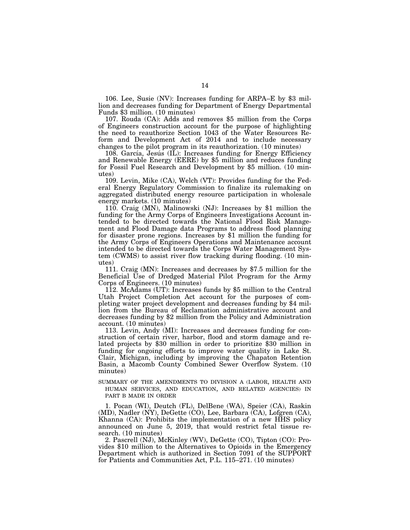106. Lee, Susie (NV): Increases funding for ARPA–E by \$3 million and decreases funding for Department of Energy Departmental Funds \$3 million. (10 minutes)

107. Rouda (CA): Adds and removes \$5 million from the Corps of Engineers construction account for the purpose of highlighting the need to reauthorize Section 1043 of the Water Resources Reform and Development Act of 2014 and to include necessary changes to the pilot program in its reauthorization. (10 minutes)

 $108.$  García, Jesús (IL): Increases funding for Energy Efficiency and Renewable Energy (EERE) by \$5 million and reduces funding for Fossil Fuel Research and Development by \$5 million. (10 minutes)

109. Levin, Mike (CA), Welch (VT): Provides funding for the Federal Energy Regulatory Commission to finalize its rulemaking on aggregated distributed energy resource participation in wholesale energy markets. (10 minutes)

110. Craig (MN), Malinowski (NJ): Increases by \$1 million the funding for the Army Corps of Engineers Investigations Account intended to be directed towards the National Flood Risk Management and Flood Damage data Programs to address flood planning for disaster prone regions. Increases by \$1 million the funding for the Army Corps of Engineers Operations and Maintenance account intended to be directed towards the Corps Water Management System (CWMS) to assist river flow tracking during flooding. (10 minutes)

111. Craig (MN): Increases and decreases by \$7.5 million for the Beneficial Use of Dredged Material Pilot Program for the Army Corps of Engineers. (10 minutes)

112. McAdams (UT): Increases funds by \$5 million to the Central Utah Project Completion Act account for the purposes of completing water project development and decreases funding by \$4 million from the Bureau of Reclamation administrative account and decreases funding by \$2 million from the Policy and Administration account. (10 minutes)

113. Levin, Andy (MI): Increases and decreases funding for construction of certain river, harbor, flood and storm damage and related projects by \$30 million in order to prioritize \$30 million in funding for ongoing efforts to improve water quality in Lake St. Clair, Michigan, including by improving the Chapaton Retention Basin, a Macomb County Combined Sewer Overflow System. (10 minutes)

SUMMARY OF THE AMENDMENTS TO DIVISION A (LABOR, HEALTH AND HUMAN SERVICES, AND EDUCATION, AND RELATED AGENCIES) IN PART B MADE IN ORDER

1. Pocan (WI), Deutch (FL), DelBene (WA), Speier (CA), Raskin (MD), Nadler (NY), DeGette (CO), Lee, Barbara (CA), Lofgren (CA), Khanna (CA): Prohibits the implementation of a new HHS policy announced on June 5, 2019, that would restrict fetal tissue research. (10 minutes)

2. Pascrell (NJ), McKinley (WV), DeGette (CO), Tipton (CO): Provides \$10 million to the Alternatives to Opioids in the Emergency Department which is authorized in Section 7091 of the SUPPORT for Patients and Communities Act, P.L. 115–271. (10 minutes)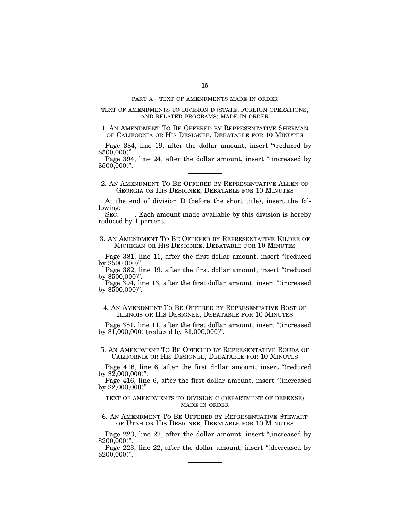### PART A—TEXT OF AMENDMENTS MADE IN ORDER

### TEXT OF AMENDMENTS TO DIVISION D (STATE, FOREIGN OPERATIONS, AND RELATED PROGRAMS) MADE IN ORDER

1. AN AMENDMENT TO BE OFFERED BY REPRESENTATIVE SHERMAN OF CALIFORNIA OR HIS DESIGNEE, DEBATABLE FOR 10 MINUTES

Page 384, line 19, after the dollar amount, insert "(reduced by \$500,000)".

Page 394, line 24, after the dollar amount, insert "(increased by \$500,000)".

2. AN AMENDMENT TO BE OFFERED BY REPRESENTATIVE ALLEN OF GEORGIA OR HIS DESIGNEE, DEBATABLE FOR 10 MINUTES

At the end of division D (before the short title), insert the following:<br>SEC.

Each amount made available by this division is hereby reduced by 1 percent.

3. AN AMENDMENT TO BE OFFERED BY REPRESENTATIVE KILDEE OF MICHIGAN OR HIS DESIGNEE, DEBATABLE FOR 10 MINUTES

Page 381, line 11, after the first dollar amount, insert "(reduced by \$500,000)''.

Page 382, line 19, after the first dollar amount, insert "(reduced by  $$500,000$ ".

Page 394, line 13, after the first dollar amount, insert ''(increased by  $$500,000$ ".

4. AN AMENDMENT TO BE OFFERED BY REPRESENTATIVE BOST OF ILLINOIS OR HIS DESIGNEE, DEBATABLE FOR 10 MINUTES

Page 381, line 11, after the first dollar amount, insert ''(increased by \$1,000,000) (reduced by \$1,000,000)''.

5. AN AMENDMENT TO BE OFFERED BY REPRESENTATIVE ROUDA OF CALIFORNIA OR HIS DESIGNEE, DEBATABLE FOR 10 MINUTES

Page 416, line 6, after the first dollar amount, insert "(reduced by \$2,000,000)".

Page 416, line 6, after the first dollar amount, insert "(increased by \$2,000,000)".

# TEXT OF AMENDMENTS TO DIVISION C (DEPARTMENT OF DEFENSE) MADE IN ORDER

6. AN AMENDMENT TO BE OFFERED BY REPRESENTATIVE STEWART OF UTAH OR HIS DESIGNEE, DEBATABLE FOR 10 MINUTES

Page 223, line 22, after the dollar amount, insert "(increased by \$200,000)".

Page 223, line 22, after the dollar amount, insert "(decreased by \$200,000)".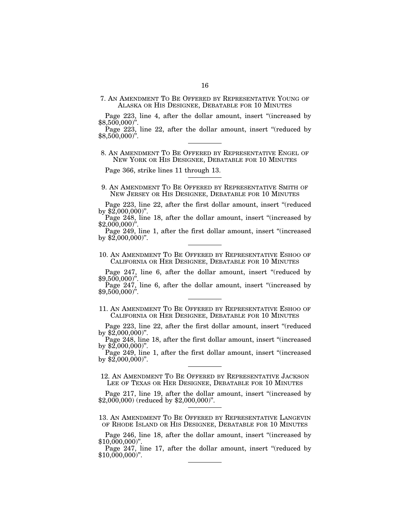7. AN AMENDMENT TO BE OFFERED BY REPRESENTATIVE YOUNG OF ALASKA OR HIS DESIGNEE, DEBATABLE FOR 10 MINUTES

Page 223, line 4, after the dollar amount, insert "(increased by \$8,500,000)".

Page 223, line 22, after the dollar amount, insert "(reduced by \$8,500,000)".

## 8. AN AMENDMENT TO BE OFFERED BY REPRESENTATIVE ENGEL OF NEW YORK OR HIS DESIGNEE, DEBATABLE FOR 10 MINUTES

Page 366, strike lines 11 through 13.

- 9. AN AMENDMENT TO BE OFFERED BY REPRESENTATIVE SMITH OF NEW JERSEY OR HIS DESIGNEE, DEBATABLE FOR 10 MINUTES
- Page 223, line 22, after the first dollar amount, insert "(reduced by \$2,000,000)".

Page 248, line 18, after the dollar amount, insert "(increased by  $$2,000,000$ ".

Page 249, line 1, after the first dollar amount, insert "(increased by \$2,000,000)".

### 10. AN AMENDMENT TO BE OFFERED BY REPRESENTATIVE ESHOO OF CALIFORNIA OR HER DESIGNEE, DEBATABLE FOR 10 MINUTES

Page 247, line 6, after the dollar amount, insert "(reduced by \$9,500,000)".

Page 247, line 6, after the dollar amount, insert "(increased by \$9,500,000)".

11. AN AMENDMENT TO BE OFFERED BY REPRESENTATIVE ESHOO OF CALIFORNIA OR HER DESIGNEE, DEBATABLE FOR 10 MINUTES

Page 223, line 22, after the first dollar amount, insert "(reduced by \$2,000,000)".

Page 248, line 18, after the first dollar amount, insert "(increased by \$2,000,000)".

Page 249, line 1, after the first dollar amount, insert "(increased by \$2,000,000)".

12. AN AMENDMENT TO BE OFFERED BY REPRESENTATIVE JACKSON LEE OF TEXAS OR HER DESIGNEE, DEBATABLE FOR 10 MINUTES

Page 217, line 19, after the dollar amount, insert ''(increased by \$2,000,000) (reduced by \$2,000,000)''.

13. AN AMENDMENT TO BE OFFERED BY REPRESENTATIVE LANGEVIN OF RHODE ISLAND OR HIS DESIGNEE, DEBATABLE FOR 10 MINUTES

Page 246, line 18, after the dollar amount, insert "(increased by \$10,000,000)".

Page 247, line 17, after the dollar amount, insert "(reduced by \$10,000,000)".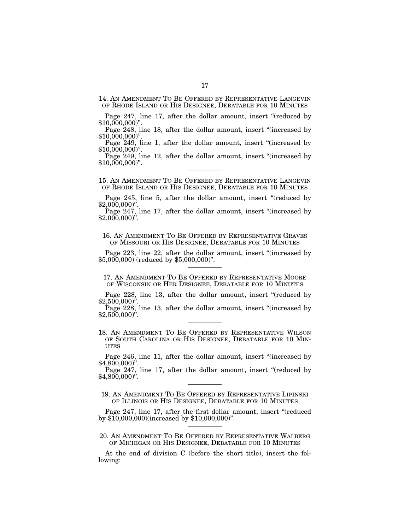14. AN AMENDMENT TO BE OFFERED BY REPRESENTATIVE LANGEVIN OF RHODE ISLAND OR HIS DESIGNEE, DEBATABLE FOR 10 MINUTES

Page 247, line 17, after the dollar amount, insert "(reduced by  $$10,000,000$ ".

Page 248, line 18, after the dollar amount, insert ''(increased by \$10,000,000<sup>"</sup>.

Page 249, line 1, after the dollar amount, insert "(increased by  $$10,000,000$ ".

Page 249, line 12, after the dollar amount, insert "(increased by  $$10,000,000$ ".

15. AN AMENDMENT TO BE OFFERED BY REPRESENTATIVE LANGEVIN OF RHODE ISLAND OR HIS DESIGNEE, DEBATABLE FOR 10 MINUTES

Page 245, line 5, after the dollar amount, insert "(reduced by  $$2,000,000$ ".

Page 247, line 17, after the dollar amount, insert ''(increased by  $$2,000,000$ ".

16. AN AMENDMENT TO BE OFFERED BY REPRESENTATIVE GRAVES OF MISSOURI OR HIS DESIGNEE, DEBATABLE FOR 10 MINUTES

Page 223, line 22, after the dollar amount, insert "(increased by \$5,000,000) (reduced by \$5,000,000)''.

17. AN AMENDMENT TO BE OFFERED BY REPRESENTATIVE MOORE OF WISCONSIN OR HER DESIGNEE, DEBATABLE FOR 10 MINUTES

Page 228, line 13, after the dollar amount, insert "(reduced by  $$2,500,000$ ".

Page 228, line 13, after the dollar amount, insert "(increased by  $$2,500,000$ ".

18. AN AMENDMENT TO BE OFFERED BY REPRESENTATIVE WILSON OF SOUTH CAROLINA OR HIS DESIGNEE, DEBATABLE FOR 10 MIN-**UTES** 

Page 246, line 11, after the dollar amount, insert ''(increased by  $$4,800,000$ ".

Page 247, line 17, after the dollar amount, insert "(reduced by \$4,800,000)''.

19. AN AMENDMENT TO BE OFFERED BY REPRESENTATIVE LIPINSKI OF ILLINOIS OR HIS DESIGNEE, DEBATABLE FOR 10 MINUTES

Page 247, line 17, after the first dollar amount, insert "(reduced by \$10,000,000)(increased by \$10,000,000)''.

20. AN AMENDMENT TO BE OFFERED BY REPRESENTATIVE WALBERG OF MICHIGAN OR HIS DESIGNEE, DEBATABLE FOR 10 MINUTES

At the end of division C (before the short title), insert the following: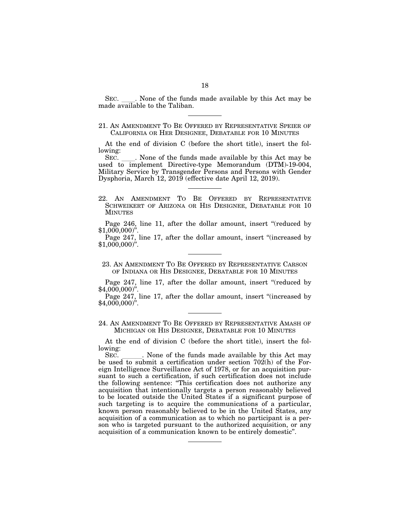SEC. Shone of the funds made available by this Act may be made available to the Taliban.

At the end of division C (before the short title), insert the following:

SEC.  $\quad$ . None of the funds made available by this Act may be used to implement Directive-type Memorandum (DTM)-19-004, Military Service by Transgender Persons and Persons with Gender Dysphoria, March 12, 2019 (effective date April 12, 2019).

Page 246, line 11, after the dollar amount, insert "(reduced by  $$1,000,000$ ".

Page 247, line 17, after the dollar amount, insert ''(increased by \$1,000,000)''.

23. AN AMENDMENT TO BE OFFERED BY REPRESENTATIVE CARSON OF INDIANA OR HIS DESIGNEE, DEBATABLE FOR 10 MINUTES

Page 247, line 17, after the dollar amount, insert "(reduced by  $$4,000,000$ ".

Page 247, line 17, after the dollar amount, insert ''(increased by  $$4,000,000$ ".

24. AN AMENDMENT TO BE OFFERED BY REPRESENTATIVE AMASH OF MICHIGAN OR HIS DESIGNEE, DEBATABLE FOR 10 MINUTES

At the end of division C (before the short title), insert the following:

SEC. Such a None of the funds made available by this Act may be used to submit a certification under section 702(h) of the Foreign Intelligence Surveillance Act of 1978, or for an acquisition pursuant to such a certification, if such certification does not include the following sentence: ''This certification does not authorize any acquisition that intentionally targets a person reasonably believed to be located outside the United States if a significant purpose of such targeting is to acquire the communications of a particular, known person reasonably believed to be in the United States, any acquisition of a communication as to which no participant is a person who is targeted pursuant to the authorized acquisition, or any acquisition of a communication known to be entirely domestic''.

<sup>21.</sup> AN AMENDMENT TO BE OFFERED BY REPRESENTATIVE SPEIER OF CALIFORNIA OR HER DESIGNEE, DEBATABLE FOR 10 MINUTES

<sup>22.</sup> AN AMENDMENT TO BE OFFERED BY REPRESENTATIVE SCHWEIKERT OF ARIZONA OR HIS DESIGNEE, DEBATABLE FOR 10 MINUTES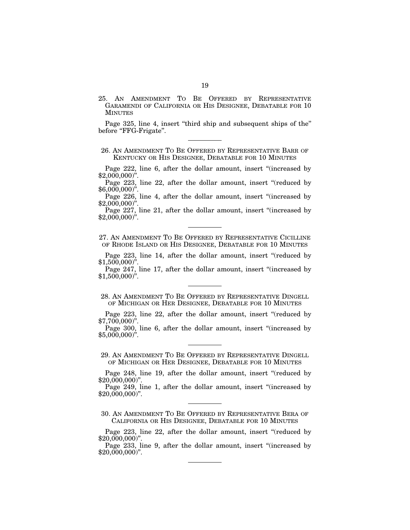25. AN AMENDMENT TO BE OFFERED BY REPRESENTATIVE GARAMENDI OF CALIFORNIA OR HIS DESIGNEE, DEBATABLE FOR 10 MINUTES

Page 325, line 4, insert "third ship and subsequent ships of the" before "FFG-Frigate".

26. AN AMENDMENT TO BE OFFERED BY REPRESENTATIVE BARR OF KENTUCKY OR HIS DESIGNEE, DEBATABLE FOR 10 MINUTES

Page 222, line 6, after the dollar amount, insert "(increased by \$2,000,000)''.

Page 223, line 22, after the dollar amount, insert "(reduced by  $$6,000,000$ <sup>"</sup>.

Page 226, line 4, after the dollar amount, insert "(increased by \$2,000,000)''.

Page 227, line 21, after the dollar amount, insert "(increased by \$2,000,000)''.

27. AN AMENDMENT TO BE OFFERED BY REPRESENTATIVE CICILLINE OF RHODE ISLAND OR HIS DESIGNEE, DEBATABLE FOR 10 MINUTES

Page 223, line 14, after the dollar amount, insert "(reduced by  $$1,500,000$ ".

Page 247, line 17, after the dollar amount, insert "(increased by  $$1,500,000$ ".

28. AN AMENDMENT TO BE OFFERED BY REPRESENTATIVE DINGELL OF MICHIGAN OR HER DESIGNEE, DEBATABLE FOR 10 MINUTES

Page 223, line 22, after the dollar amount, insert "(reduced by  $$7,700,000$ 

Page 300, line 6, after the dollar amount, insert "(increased by  $$5,000,000$ <sup>"</sup>.

29. AN AMENDMENT TO BE OFFERED BY REPRESENTATIVE DINGELL OF MICHIGAN OR HER DESIGNEE, DEBATABLE FOR 10 MINUTES

Page 248, line 19, after the dollar amount, insert "(reduced by \$20,000,000)''.

Page 249, line 1, after the dollar amount, insert "(increased by \$20,000,000)''.

30. AN AMENDMENT TO BE OFFERED BY REPRESENTATIVE BERA OF CALIFORNIA OR HIS DESIGNEE, DEBATABLE FOR 10 MINUTES

Page 223, line 22, after the dollar amount, insert "(reduced by \$20,000,000)''.

Page 233, line 9, after the dollar amount, insert "(increased by  $$20,000,000$ ".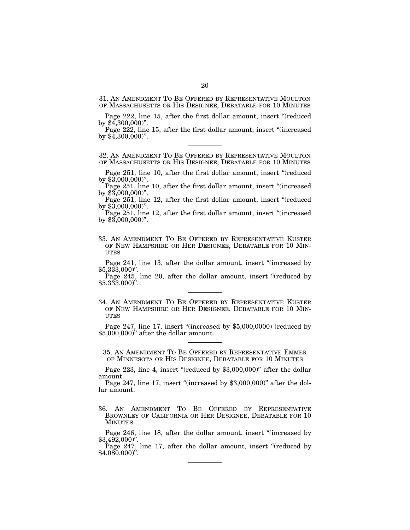31. AN AMENDMENT TO BE OFFERED BY REPRESENTATIVE MOULTON OF MASSACHUSETTS OR HIS DESIGNEE, DEBATABLE FOR 10 MINUTES

Page 222, line 15, after the first dollar amount, insert "(reduced by  $$4,300,000$ ".

Page 222, line 15, after the first dollar amount, insert "(increased) by  $$4,300,000$ ".

32. AN AMENDMENT TO BE OFFERED BY REPRESENTATIVE MOULTON OF MASSACHUSETTS OR HIS DESIGNEE, DEBATABLE FOR 10 MINUTES

Page 251, line 10, after the first dollar amount, insert "(reduced by \$3,000,000)''.

Page 251, line 10, after the first dollar amount, insert "(increased by  $$3,000,000$ ".

Page 251, line 12, after the first dollar amount, insert "(reduced by  $$3,000,000$ ".

Page 251, line 12, after the first dollar amount, insert "(increased) by  $$3,000,000$ ".

33. AN AMENDMENT TO BE OFFERED BY REPRESENTATIVE KUSTER OF NEW HAMPSHIRE OR HER DESIGNEE, DEBATABLE FOR 10 MIN-UTES

Page 241, line 13, after the dollar amount, insert "(increased by \$5,333,000)''.

Page 245, line 20, after the dollar amount, insert "(reduced by  $$5,333,000$ ".

34. AN AMENDMENT TO BE OFFERED BY REPRESENTATIVE KUSTER OF NEW HAMPSHIRE OR HER DESIGNEE, DEBATABLE FOR 10 MIN- UTES

Page 247, line 17, insert "(increased by \$5,000,0000) (reduced by \$5,000,000)'' after the dollar amount.

35. AN AMENDMENT TO BE OFFERED BY REPRESENTATIVE EMMER OF MINNESOTA OR HIS DESIGNEE, DEBATABLE FOR 10 MINUTES

Page 223, line 4, insert "(reduced by \$3,000,000)" after the dollar amount.

Page 247, line 17, insert "(increased by \$3,000,000)" after the dollar amount.

36. AN AMENDMENT TO BE OFFERED BY REPRESENTATIVE BROWNLEY OF CALIFORNIA OR HER DESIGNEE, DEBATABLE FOR 10 MINUTES

Page 246, line 18, after the dollar amount, insert "(increased by \$3,492,000)".

Page 247, line 17, after the dollar amount, insert "(reduced by \$4,080,000)".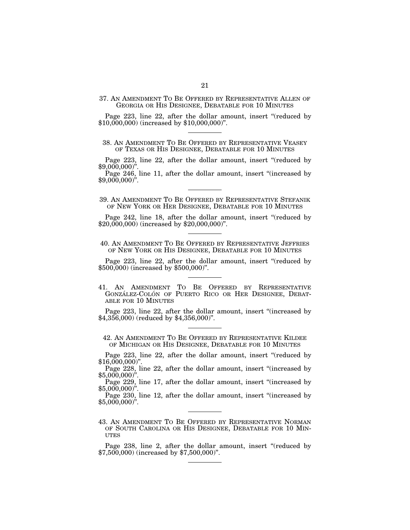37. AN AMENDMENT TO BE OFFERED BY REPRESENTATIVE ALLEN OF GEORGIA OR HIS DESIGNEE, DEBATABLE FOR 10 MINUTES

Page 223, line 22, after the dollar amount, insert "(reduced by \$10,000,000) (increased by \$10,000,000)''.

38. AN AMENDMENT TO BE OFFERED BY REPRESENTATIVE VEASEY OF TEXAS OR HIS DESIGNEE, DEBATABLE FOR 10 MINUTES

Page 223, line 22, after the dollar amount, insert "(reduced by \$9,000,000)''.

Page 246, line 11, after the dollar amount, insert ''(increased by  $$9,000,000$ ".

39. AN AMENDMENT TO BE OFFERED BY REPRESENTATIVE STEFANIK OF NEW YORK OR HER DESIGNEE, DEBATABLE FOR 10 MINUTES

Page 242, line 18, after the dollar amount, insert "(reduced by \$20,000,000) (increased by \$20,000,000)''.

40. AN AMENDMENT TO BE OFFERED BY REPRESENTATIVE JEFFRIES OF NEW YORK OR HIS DESIGNEE, DEBATABLE FOR 10 MINUTES

Page 223, line 22, after the dollar amount, insert "(reduced by \$500,000) (increased by \$500,000)''.

41. AN AMENDMENT TO BE OFFERED BY REPRESENTATIVE GONZÁLEZ-COLÓN OF PUERTO RICO OR HER DESIGNEE, DEBAT-ABLE FOR 10 MINUTES

Page 223, line 22, after the dollar amount, insert "(increased by \$4,356,000) (reduced by \$4,356,000)".

42. AN AMENDMENT TO BE OFFERED BY REPRESENTATIVE KILDEE OF MICHIGAN OR HIS DESIGNEE, DEBATABLE FOR 10 MINUTES

Page 223, line 22, after the dollar amount, insert "(reduced by  $$16,000,000$ ".

Page 228, line 22, after the dollar amount, insert ''(increased by  $$5,000,000$ ".

Page 229, line 17, after the dollar amount, insert ''(increased by  $$5,000,000$ ".

Page 230, line 12, after the dollar amount, insert ''(increased by  $$5,000,000$ <sup>"</sup>.

43. AN AMENDMENT TO BE OFFERED BY REPRESENTATIVE NORMAN OF SOUTH CAROLINA OR HIS DESIGNEE, DEBATABLE FOR 10 MIN-UTES

Page 238, line 2, after the dollar amount, insert "(reduced by \$7,500,000) (increased by \$7,500,000)''.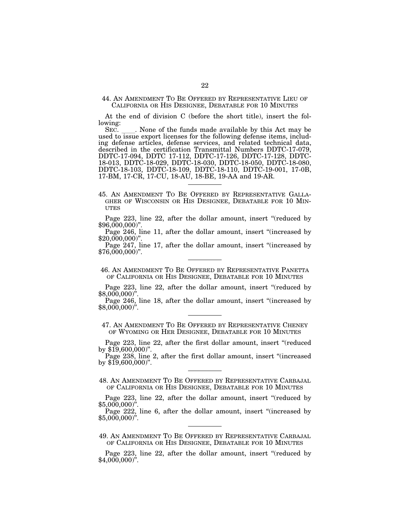44. AN AMENDMENT TO BE OFFERED BY REPRESENTATIVE LIEU OF CALIFORNIA OR HIS DESIGNEE, DEBATABLE FOR 10 MINUTES

At the end of division C (before the short title), insert the following:

SEC. Let None of the funds made available by this Act may be used to issue export licenses for the following defense items, including defense articles, defense services, and related technical data, described in the certification Transmittal Numbers DDTC-17-079, DDTC-17-094, DDTC 17-112, DDTC-17-126, DDTC-17-128, DDTC-18-013, DDTC-18-029, DDTC-18-030, DDTC-18-050, DDTC-18-080, DDTC-18-103, DDTC-18-109, DDTC-18-110, DDTC-19-001, 17-0B, 17-BM, 17-CR, 17-CU, 18-AU, 18-BE, 19-AA and 19-AR.

Page 223, line 22, after the dollar amount, insert "(reduced by  $$96,000,000$ <sup>"</sup>

Page 246, line 11, after the dollar amount, insert "(increased by \$20,000,000)''.

Page 247, line 17, after the dollar amount, insert ''(increased by  $$76,000,000$ ".

46. AN AMENDMENT TO BE OFFERED BY REPRESENTATIVE PANETTA OF CALIFORNIA OR HIS DESIGNEE, DEBATABLE FOR 10 MINUTES

Page 223, line 22, after the dollar amount, insert "(reduced by \$8,000,000)''.

Page 246, line 18, after the dollar amount, insert "(increased by \$8,000,000)''.

47. AN AMENDMENT TO BE OFFERED BY REPRESENTATIVE CHENEY OF WYOMING OR HER DESIGNEE, DEBATABLE FOR 10 MINUTES

Page 223, line 22, after the first dollar amount, insert "(reduced by \$19,600,000)".

Page 238, line 2, after the first dollar amount, insert "(increased by \$19,600,000)".

48. AN AMENDMENT TO BE OFFERED BY REPRESENTATIVE CARBAJAL OF CALIFORNIA OR HIS DESIGNEE, DEBATABLE FOR 10 MINUTES

Page 223, line 22, after the dollar amount, insert "(reduced by \$5,000,000)".

Page 222, line 6, after the dollar amount, insert "(increased by \$5,000,000)".

49. AN AMENDMENT TO BE OFFERED BY REPRESENTATIVE CARBAJAL OF CALIFORNIA OR HIS DESIGNEE, DEBATABLE FOR 10 MINUTES

Page 223, line 22, after the dollar amount, insert "(reduced by  $$4,000,000$ <sup>"</sup>.

<sup>45.</sup> AN AMENDMENT TO BE OFFERED BY REPRESENTATIVE GALLA- GHER OF WISCONSIN OR HIS DESIGNEE, DEBATABLE FOR 10 MIN- **UTES**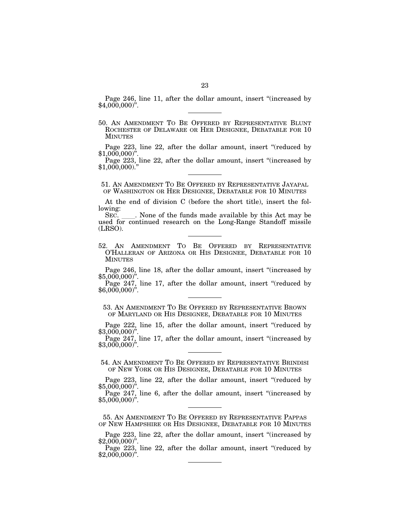Page 246, line 11, after the dollar amount, insert "(increased by \$4,000,000)".

50. AN AMENDMENT TO BE OFFERED BY REPRESENTATIVE BLUNT ROCHESTER OF DELAWARE OR HER DESIGNEE, DEBATABLE FOR 10 MINUTES

Page 223, line 22, after the dollar amount, insert "(reduced by  $$1,000,000$ ".

Page 223, line 22, after the dollar amount, insert ''(increased by  $$1,000,000$ )."

51. AN AMENDMENT TO BE OFFERED BY REPRESENTATIVE JAYAPAL OF WASHINGTON OR HER DESIGNEE, DEBATABLE FOR 10 MINUTES

At the end of division C (before the short title), insert the following:

SEC. Solution of the funds made available by this Act may be used for continued research on the Long-Range Standoff missile (LRSO).

52. AN AMENDMENT TO BE OFFERED BY REPRESENTATIVE O'HALLERAN OF ARIZONA OR HIS DESIGNEE, DEBATABLE FOR 10 MINUTES

Page 246, line 18, after the dollar amount, insert "(increased by \$5,000,000)''.

Page 247, line 17, after the dollar amount, insert "(reduced by  $$6,000,000$ <sup>"</sup>.

53. AN AMENDMENT TO BE OFFERED BY REPRESENTATIVE BROWN OF MARYLAND OR HIS DESIGNEE, DEBATABLE FOR 10 MINUTES

Page 222, line 15, after the dollar amount, insert "(reduced by \$3,000,000)".

Page 247, line 17, after the dollar amount, insert "(increased by \$3,000,000)".

54. AN AMENDMENT TO BE OFFERED BY REPRESENTATIVE BRINDISI OF NEW YORK OR HIS DESIGNEE, DEBATABLE FOR 10 MINUTES

Page 223, line 22, after the dollar amount, insert "(reduced by \$5,000,000)''.

Page 247, line 6, after the dollar amount, insert "(increased by  $$5,000,000$ ".

55. AN AMENDMENT TO BE OFFERED BY REPRESENTATIVE PAPPAS OF NEW HAMPSHIRE OR HIS DESIGNEE, DEBATABLE FOR 10 MINUTES

Page 223, line 22, after the dollar amount, insert "(increased by \$2,000,000)".

Page 223, line 22, after the dollar amount, insert "(reduced by \$2,000,000)".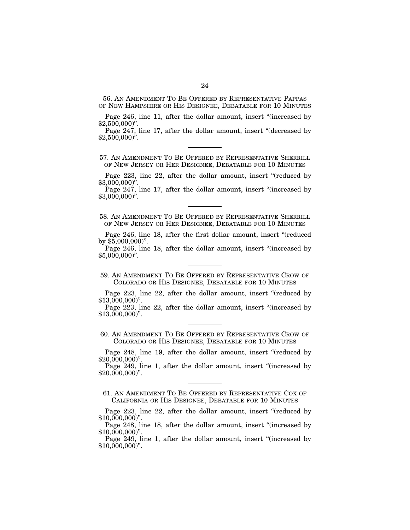56. AN AMENDMENT TO BE OFFERED BY REPRESENTATIVE PAPPAS OF NEW HAMPSHIRE OR HIS DESIGNEE, DEBATABLE FOR 10 MINUTES

Page 246, line 11, after the dollar amount, insert "(increased by  $$2,500,000$ ".

Page 247, line 17, after the dollar amount, insert "(decreased by  $$2,500,000$ ".

57. AN AMENDMENT TO BE OFFERED BY REPRESENTATIVE SHERRILL OF NEW JERSEY OR HER DESIGNEE, DEBATABLE FOR 10 MINUTES

Page 223, line 22, after the dollar amount, insert "(reduced by \$3,000,000)''.

Page 247, line 17, after the dollar amount, insert ''(increased by  $$3,000,000$ ".

58. AN AMENDMENT TO BE OFFERED BY REPRESENTATIVE SHERRILL OF NEW JERSEY OR HER DESIGNEE, DEBATABLE FOR 10 MINUTES

Page 246, line 18, after the first dollar amount, insert "(reduced by \$5,000,000)''.

Page 246, line 18, after the dollar amount, insert "(increased by  $$5,000,000$ <sup>"</sup>.

59. AN AMENDMENT TO BE OFFERED BY REPRESENTATIVE CROW OF COLORADO OR HIS DESIGNEE, DEBATABLE FOR 10 MINUTES

Page 223, line 22, after the dollar amount, insert "(reduced by \$13,000,000)''.

Page 223, line 22, after the dollar amount, insert ''(increased by \$13,000,000)''.

60. AN AMENDMENT TO BE OFFERED BY REPRESENTATIVE CROW OF COLORADO OR HIS DESIGNEE, DEBATABLE FOR 10 MINUTES

Page 248, line 19, after the dollar amount, insert "(reduced by \$20,000,000)''.

Page 249, line 1, after the dollar amount, insert "(increased by  $$20,000,000$ ".

61. AN AMENDMENT TO BE OFFERED BY REPRESENTATIVE COX OF CALIFORNIA OR HIS DESIGNEE, DEBATABLE FOR 10 MINUTES

Page 223, line 22, after the dollar amount, insert "(reduced by  $$10,000,000$ ".

Page 248, line 18, after the dollar amount, insert ''(increased by  $$10,000,000$ ".

Page 249, line 1, after the dollar amount, insert "(increased by  $$10,000,000$ ".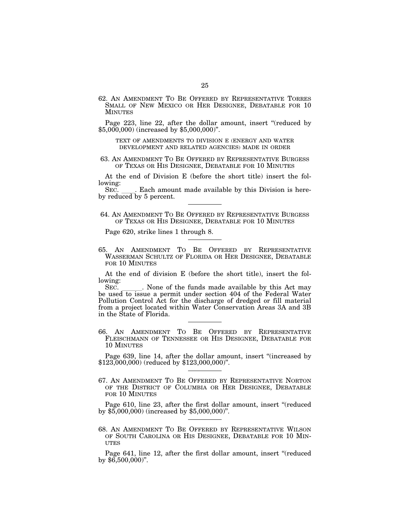62. AN AMENDMENT TO BE OFFERED BY REPRESENTATIVE TORRES SMALL OF NEW MEXICO OR HER DESIGNEE, DEBATABLE FOR 10 MINUTES

Page 223, line 22, after the dollar amount, insert "(reduced by \$5,000,000) (increased by \$5,000,000)''.

TEXT OF AMENDMENTS TO DIVISION E (ENERGY AND WATER DEVELOPMENT AND RELATED AGENCIES) MADE IN ORDER

63. AN AMENDMENT TO BE OFFERED BY REPRESENTATIVE BURGESS OF TEXAS OR HIS DESIGNEE, DEBATABLE FOR 10 MINUTES

At the end of Division E (before the short title) insert the following:

SEC. \_\_\_\_. Each amount made available by this Division is hereby reduced by 5 percent.

64. AN AMENDMENT TO BE OFFERED BY REPRESENTATIVE BURGESS OF TEXAS OR HIS DESIGNEE, DEBATABLE FOR 10 MINUTES

Page 620, strike lines 1 through 8.

65. AN AMENDMENT TO BE OFFERED BY REPRESENTATIVE WASSERMAN SCHULTZ OF FLORIDA OR HER DESIGNEE, DEBATABLE FOR 10 MINUTES

At the end of division E (before the short title), insert the following:

SEC. Solution and SEC. Section 404 of the funds made available by this Act may be used to issue a permit under section 404 of the Federal Water Pollution Control Act for the discharge of dredged or fill material from a project located within Water Conservation Areas 3A and 3B in the State of Florida.

66. AN AMENDMENT TO BE OFFERED BY REPRESENTATIVE FLEISCHMANN OF TENNESSEE OR HIS DESIGNEE, DEBATABLE FOR 10 MINUTES

Page 639, line 14, after the dollar amount, insert "(increased by \$123,000,000) (reduced by \$123,000,000)''.

67. AN AMENDMENT TO BE OFFERED BY REPRESENTATIVE NORTON OF THE DISTRICT OF COLUMBIA OR HER DESIGNEE, DEBATABLE FOR 10 MINUTES

Page 610, line 23, after the first dollar amount, insert "(reduced by \$5,000,000) (increased by \$5,000,000)''.

68. AN AMENDMENT TO BE OFFERED BY REPRESENTATIVE WILSON OF SOUTH CAROLINA OR HIS DESIGNEE, DEBATABLE FOR 10 MIN- UTES

Page 641, line 12, after the first dollar amount, insert "(reduced by  $$6,500,000$ ".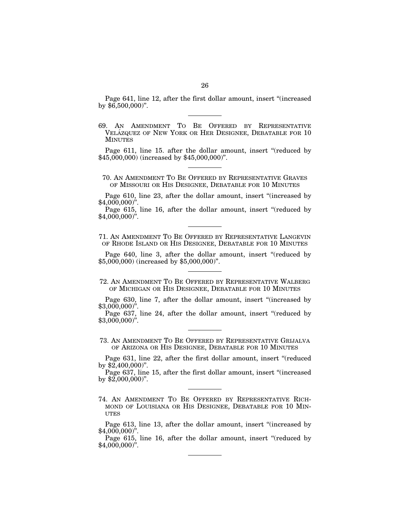Page 641, line 12, after the first dollar amount, insert ''(increased by  $$6,500,000$ ".

69. AN AMENDMENT TO BE OFFERED BY REPRESENTATIVE VELÁZQUEZ OF NEW YORK OR HER DESIGNEE, DEBATABLE FOR 10 **MINUTES** 

Page 611, line 15. after the dollar amount, insert "(reduced by \$45,000,000) (increased by \$45,000,000)''.

70. AN AMENDMENT TO BE OFFERED BY REPRESENTATIVE GRAVES OF MISSOURI OR HIS DESIGNEE, DEBATABLE FOR 10 MINUTES

Page 610, line 23, after the dollar amount, insert "(increased by \$4,000,000)''.

Page 615, line 16, after the dollar amount, insert "(reduced by  $$4,000,000$ ".

71. AN AMENDMENT TO BE OFFERED BY REPRESENTATIVE LANGEVIN OF RHODE ISLAND OR HIS DESIGNEE, DEBATABLE FOR 10 MINUTES

Page 640, line 3, after the dollar amount, insert "(reduced by \$5,000,000) (increased by \$5,000,000)''.

Page 630, line 7, after the dollar amount, insert "(increased by \$3,000,000)''.

Page 637, line 24, after the dollar amount, insert "(reduced by \$3,000,000)''.

73. AN AMENDMENT TO BE OFFERED BY REPRESENTATIVE GRIJALVA OF ARIZONA OR HIS DESIGNEE, DEBATABLE FOR 10 MINUTES

Page 631, line 22, after the first dollar amount, insert "(reduced by \$2,400,000)''.

Page 637, line 15, after the first dollar amount, insert "(increased by \$2,000,000)''.

74. AN AMENDMENT TO BE OFFERED BY REPRESENTATIVE RICH-MOND OF LOUISIANA OR HIS DESIGNEE, DEBATABLE FOR 10 MIN-UTES

Page 613, line 13, after the dollar amount, insert ''(increased by \$4,000,000)''.

Page 615, line 16, after the dollar amount, insert "(reduced by \$4,000,000)''.

<sup>72.</sup> AN AMENDMENT TO BE OFFERED BY REPRESENTATIVE WALBERG OF MICHIGAN OR HIS DESIGNEE, DEBATABLE FOR 10 MINUTES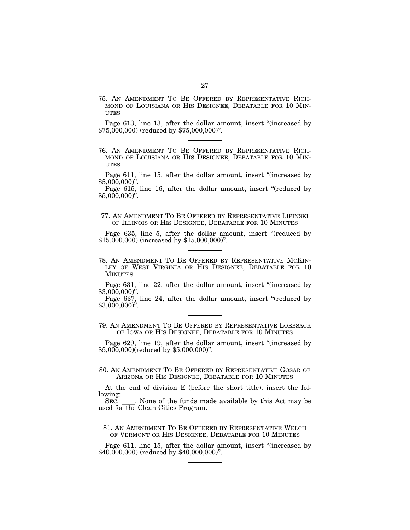75. AN AMENDMENT TO BE OFFERED BY REPRESENTATIVE RICH-MOND OF LOUISIANA OR HIS DESIGNEE, DEBATABLE FOR 10 MIN-UTES

Page 613, line 13, after the dollar amount, insert ''(increased by \$75,000,000) (reduced by \$75,000,000)''.

76. AN AMENDMENT TO BE OFFERED BY REPRESENTATIVE RICH-MOND OF LOUISIANA OR HIS DESIGNEE, DEBATABLE FOR 10 MIN-UTES

Page 611, line 15, after the dollar amount, insert ''(increased by  $$5,000,000$ ".

Page 615, line 16, after the dollar amount, insert "(reduced by  $$5,000,000$ ".

77. AN AMENDMENT TO BE OFFERED BY REPRESENTATIVE LIPINSKI OF ILLINOIS OR HIS DESIGNEE, DEBATABLE FOR 10 MINUTES

Page 635, line 5, after the dollar amount, insert "(reduced by \$15,000,000) (increased by \$15,000,000)''.

78. AN AMENDMENT TO BE OFFERED BY REPRESENTATIVE MCKIN-LEY OF WEST VIRGINIA OR HIS DESIGNEE, DEBATABLE FOR 10 MINUTES

Page 631, line 22, after the dollar amount, insert ''(increased by  $$3,000,000$ ".

Page 637, line 24, after the dollar amount, insert "(reduced by  $$3,000,000$ ".

79. AN AMENDMENT TO BE OFFERED BY REPRESENTATIVE LOEBSACK OF IOWA OR HIS DESIGNEE, DEBATABLE FOR 10 MINUTES

Page 629, line 19, after the dollar amount, insert ''(increased by \$5,000,000)(reduced by \$5,000,000)''.

80. AN AMENDMENT TO BE OFFERED BY REPRESENTATIVE GOSAR OF ARIZONA OR HIS DESIGNEE, DEBATABLE FOR 10 MINUTES

At the end of division E (before the short title), insert the following:<br>SEC.

None of the funds made available by this Act may be used for the Clean Cities Program.

81. AN AMENDMENT TO BE OFFERED BY REPRESENTATIVE WELCH OF VERMONT OR HIS DESIGNEE, DEBATABLE FOR 10 MINUTES

Page 611, line 15, after the dollar amount, insert "(increased by \$40,000,000) (reduced by \$40,000,000)''.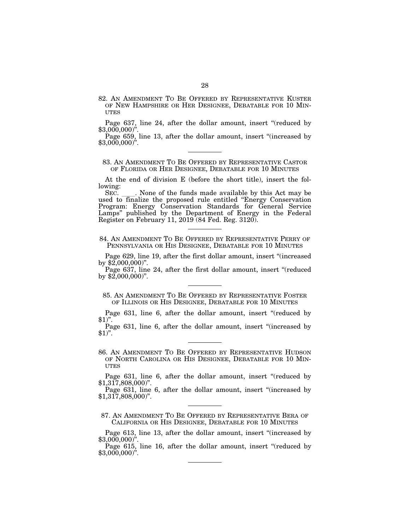82. AN AMENDMENT TO BE OFFERED BY REPRESENTATIVE KUSTER OF NEW HAMPSHIRE OR HER DESIGNEE, DEBATABLE FOR 10 MIN- **UTES** 

Page 637, line 24, after the dollar amount, insert "(reduced by \$3,000,000)''.

Page 659, line 13, after the dollar amount, insert "(increased by  $$3,000,000$ ".

83. AN AMENDMENT TO BE OFFERED BY REPRESENTATIVE CASTOR OF FLORIDA OR HER DESIGNEE, DEBATABLE FOR 10 MINUTES

At the end of division E (before the short title), insert the following:<br>SEC.

SEC. Let None of the funds made available by this Act may be used to finalize the proposed rule entitled "Energy Conservation" Program: Energy Conservation Standards for General Service Lamps'' published by the Department of Energy in the Federal Register on February 11, 2019 (84 Fed. Reg. 3120).

84. AN AMENDMENT TO BE OFFERED BY REPRESENTATIVE PERRY OF PENNSYLVANIA OR HIS DESIGNEE, DEBATABLE FOR 10 MINUTES

Page 629, line 19, after the first dollar amount, insert ''(increased by \$2,000,000)''.

Page 637, line 24, after the first dollar amount, insert "(reduced by  $$2,000,000$ ".

85. AN AMENDMENT TO BE OFFERED BY REPRESENTATIVE FOSTER OF ILLINOIS OR HIS DESIGNEE, DEBATABLE FOR 10 MINUTES

Page 631, line 6, after the dollar amount, insert "(reduced by  $$1$ <sup>".</sup>

Page 631, line 6, after the dollar amount, insert "(increased by  $$1$ <sup>".</sup>

86. AN AMENDMENT TO BE OFFERED BY REPRESENTATIVE HUDSON OF NORTH CAROLINA OR HIS DESIGNEE, DEBATABLE FOR 10 MIN-UTES

Page 631, line 6, after the dollar amount, insert "(reduced by \$1,317,808,000)''.

Page 631, line 6, after the dollar amount, insert "(increased by  $$1,317,808,000$ ".

87. AN AMENDMENT TO BE OFFERED BY REPRESENTATIVE BERA OF CALIFORNIA OR HIS DESIGNEE, DEBATABLE FOR 10 MINUTES

Page 613, line 13, after the dollar amount, insert "(increased by \$3,000,000)".

Page 615, line 16, after the dollar amount, insert "(reduced by \$3,000,000)".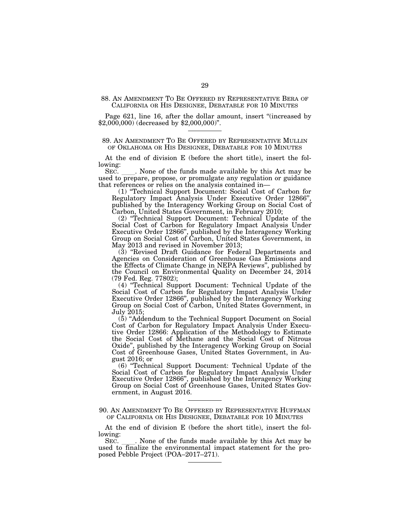### 88. AN AMENDMENT TO BE OFFERED BY REPRESENTATIVE BERA OF CALIFORNIA OR HIS DESIGNEE, DEBATABLE FOR 10 MINUTES

Page 621, line 16, after the dollar amount, insert ''(increased by \$2,000,000) (decreased by \$2,000,000)''.

### 89. AN AMENDMENT TO BE OFFERED BY REPRESENTATIVE MULLIN OF OKLAHOMA OR HIS DESIGNEE, DEBATABLE FOR 10 MINUTES

At the end of division E (before the short title), insert the following:

SEC. Let None of the funds made available by this Act may be used to prepare, propose, or promulgate any regulation or guidance that references or relies on the analysis contained in—

(1) ''Technical Support Document: Social Cost of Carbon for Regulatory Impact Analysis Under Executive Order 12866" published by the Interagency Working Group on Social Cost of Carbon, United States Government, in February 2010;

(2) ''Technical Support Document: Technical Update of the Social Cost of Carbon for Regulatory Impact Analysis Under Executive Order 12866'', published by the Interagency Working Group on Social Cost of Carbon, United States Government, in May 2013 and revised in November 2013;

(3) ''Revised Draft Guidance for Federal Departments and Agencies on Consideration of Greenhouse Gas Emissions and the Effects of Climate Change in NEPA Reviews'', published by the Council on Environmental Quality on December 24, 2014 (79 Fed. Reg. 77802);

(4) ''Technical Support Document: Technical Update of the Social Cost of Carbon for Regulatory Impact Analysis Under Executive Order 12866'', published by the Interagency Working Group on Social Cost of Carbon, United States Government, in July 2015;

(5) ''Addendum to the Technical Support Document on Social Cost of Carbon for Regulatory Impact Analysis Under Executive Order 12866: Application of the Methodology to Estimate the Social Cost of Methane and the Social Cost of Nitrous Oxide'', published by the Interagency Working Group on Social Cost of Greenhouse Gases, United States Government, in August 2016; or

(6) ''Technical Support Document: Technical Update of the Social Cost of Carbon for Regulatory Impact Analysis Under Executive Order 12866'', published by the Interagency Working Group on Social Cost of Greenhouse Gases, United States Government, in August 2016.

90. AN AMENDMENT TO BE OFFERED BY REPRESENTATIVE HUFFMAN OF CALIFORNIA OR HIS DESIGNEE, DEBATABLE FOR 10 MINUTES

At the end of division E (before the short title), insert the following:

SEC. Let None of the funds made available by this Act may be used to finalize the environmental impact statement for the proposed Pebble Project (POA–2017–271).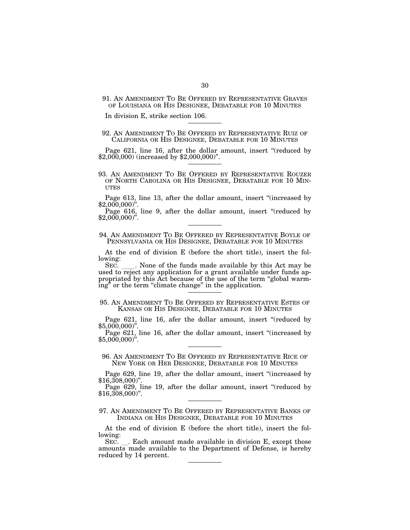91. AN AMENDMENT TO BE OFFERED BY REPRESENTATIVE GRAVES OF LOUISIANA OR HIS DESIGNEE, DEBATABLE FOR 10 MINUTES

In division E, strike section 106.

### 92. AN AMENDMENT TO BE OFFERED BY REPRESENTATIVE RUIZ OF CALIFORNIA OR HIS DESIGNEE, DEBATABLE FOR 10 MINUTES

Page 621, line 16, after the dollar amount, insert "(reduced by \$2,000,000) (increased by \$2,000,000)".

93. AN AMENDMENT TO BE OFFERED BY REPRESENTATIVE ROUZER OF NORTH CAROLINA OR HIS DESIGNEE, DEBATABLE FOR 10 MIN- UTES

Page 613, line 13, after the dollar amount, insert "(increased by \$2,000,000)".

Page 616, line 9, after the dollar amount, insert "(reduced by \$2,000,000)".

### 94. AN AMENDMENT TO BE OFFERED BY REPRESENTATIVE BOYLE OF PENNSYLVANIA OR HIS DESIGNEE, DEBATABLE FOR 10 MINUTES

At the end of division E (before the short title), insert the following:<br>SEC.

SEC. L. None of the funds made available by this Act may be used to reject any application for a grant available under funds appropriated by this Act because of the use of the term ''global warming'' or the term ''climate change'' in the application.

95. AN AMENDMENT TO BE OFFERED BY REPRESENTATIVE ESTES OF KANSAS OR HIS DESIGNEE, DEBATABLE FOR 10 MINUTES

Page 621, line 16, afer the dollar amount, insert "(reduced by \$5,000,000)".

Page 621, line 16, after the dollar amount, insert "(increased by \$5,000,000)".

96. AN AMENDMENT TO BE OFFERED BY REPRESENTATIVE RICE OF NEW YORK OR HER DESIGNEE, DEBATABLE FOR 10 MINUTES

Page 629, line 19, after the dollar amount, insert "(increased by \$16,308,000)".

Page 629, line 19, after the dollar amount, insert "(reduced by  $$16,308,000$ ".

97. AN AMENDMENT TO BE OFFERED BY REPRESENTATIVE BANKS OF INDIANA OR HIS DESIGNEE, DEBATABLE FOR 10 MINUTES

At the end of division E (before the short title), insert the following:<br>SEC.

Rec. Each amount made available in division E, except those amounts made available to the Department of Defense, is hereby reduced by 14 percent.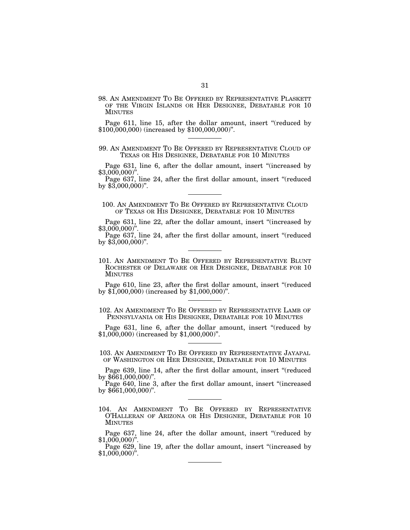98. AN AMENDMENT TO BE OFFERED BY REPRESENTATIVE PLASKETT OF THE VIRGIN ISLANDS OR HER DESIGNEE, DEBATABLE FOR 10 **MINUTES** 

Page 611, line 15, after the dollar amount, insert "(reduced by \$100,000,000) (increased by \$100,000,000)''.

99. AN AMENDMENT TO BE OFFERED BY REPRESENTATIVE CLOUD OF TEXAS OR HIS DESIGNEE, DEBATABLE FOR 10 MINUTES

Page 631, line 6, after the dollar amount, insert "(increased by \$3,000,000)".

Page 637, line 24, after the first dollar amount, insert "(reduced by \$3,000,000)".

100. AN AMENDMENT TO BE OFFERED BY REPRESENTATIVE CLOUD OF TEXAS OR HIS DESIGNEE, DEBATABLE FOR 10 MINUTES

Page 631, line 22, after the dollar amount, insert "(increased by  $$3,000,000$ <sup>"</sup>

Page 637, line 24, after the first dollar amount, insert "(reduced by  $$3,000,000$ ".

101. AN AMENDMENT TO BE OFFERED BY REPRESENTATIVE BLUNT ROCHESTER OF DELAWARE OR HER DESIGNEE, DEBATABLE FOR 10 MINUTES

Page 610, line 23, after the first dollar amount, insert "(reduced by \$1,000,000) (increased by \$1,000,000)''.

102. AN AMENDMENT TO BE OFFERED BY REPRESENTATIVE LAMB OF PENNSYLVANIA OR HIS DESIGNEE, DEBATABLE FOR 10 MINUTES

Page 631, line 6, after the dollar amount, insert "(reduced by \$1,000,000) (increased by \$1,000,000)''.

# 103. AN AMENDMENT TO BE OFFERED BY REPRESENTATIVE JAYAPAL OF WASHINGTON OR HER DESIGNEE, DEBATABLE FOR 10 MINUTES

Page 639, line 14, after the first dollar amount, insert "(reduced by \$661,000,000)''.

Page 640, line 3, after the first dollar amount, insert ''(increased by \$661,000,000)''.

104. AN AMENDMENT TO BE OFFERED BY REPRESENTATIVE O'HALLERAN OF ARIZONA OR HIS DESIGNEE, DEBATABLE FOR 10 MINUTES

Page 637, line 24, after the dollar amount, insert "(reduced by  $$1,000,000$ ".

Page 629, line 19, after the dollar amount, insert ''(increased by  $$1,000,000$ ".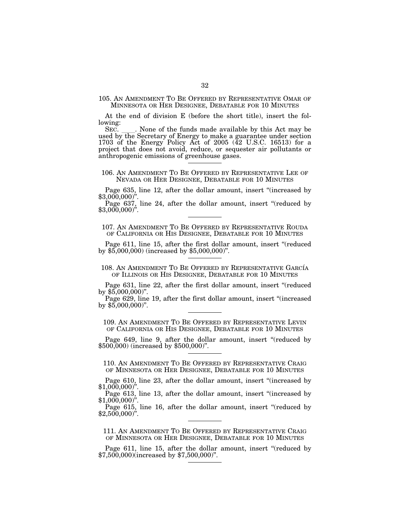105. AN AMENDMENT TO BE OFFERED BY REPRESENTATIVE OMAR OF MINNESOTA OR HER DESIGNEE, DEBATABLE FOR 10 MINUTES

At the end of division E (before the short title), insert the following:<br>SEC.

SEC. Let None of the funds made available by this Act may be used by the Secretary of Energy to make a guarantee under section 1703 of the Energy Policy Act of 2005 (42 U.S.C. 16513) for a project that does not avoid, reduce, or sequester air pollutants or anthropogenic emissions of greenhouse gases.

106. AN AMENDMENT TO BE OFFERED BY REPRESENTATIVE LEE OF NEVADA OR HER DESIGNEE, DEBATABLE FOR 10 MINUTES

Page 635, line 12, after the dollar amount, insert "(increased by \$3,000,000)".

Page  $637$ , line 24, after the dollar amount, insert "(reduced by  $$3,000,000$ )".

107. AN AMENDMENT TO BE OFFERED BY REPRESENTATIVE ROUDA OF CALIFORNIA OR HIS DESIGNEE, DEBATABLE FOR 10 MINUTES

Page 611, line 15, after the first dollar amount, insert "(reduced by \$5,000,000) (increased by \$5,000,000)".

108. AN AMENDMENT TO BE OFFERED BY REPRESENTATIVE GARCÍA OF ILLINOIS OR HIS DESIGNEE, DEBATABLE FOR 10 MINUTES

Page 631, line 22, after the first dollar amount, insert "(reduced by \$5,000,000)".

Page 629, line 19, after the first dollar amount, insert "(increased by \$5,000,000)".

109. AN AMENDMENT TO BE OFFERED BY REPRESENTATIVE LEVIN OF CALIFORNIA OR HIS DESIGNEE, DEBATABLE FOR 10 MINUTES

Page 649, line 9, after the dollar amount, insert "(reduced by \$500,000) (increased by \$500,000)".

110. AN AMENDMENT TO BE OFFERED BY REPRESENTATIVE CRAIG OF MINNESOTA OR HER DESIGNEE, DEBATABLE FOR 10 MINUTES

Page 610, line 23, after the dollar amount, insert "(increased by \$1,000,000)".

Page 613, line 13, after the dollar amount, insert "(increased by  $$1,000,000$ ".

Page 615, line 16, after the dollar amount, insert "(reduced by  $$2,500,000$ ".

111. AN AMENDMENT TO BE OFFERED BY REPRESENTATIVE CRAIG OF MINNESOTA OR HER DESIGNEE, DEBATABLE FOR 10 MINUTES

Page 611, line 15, after the dollar amount, insert "(reduced by \$7,500,000)increased by \$7,500,000)".